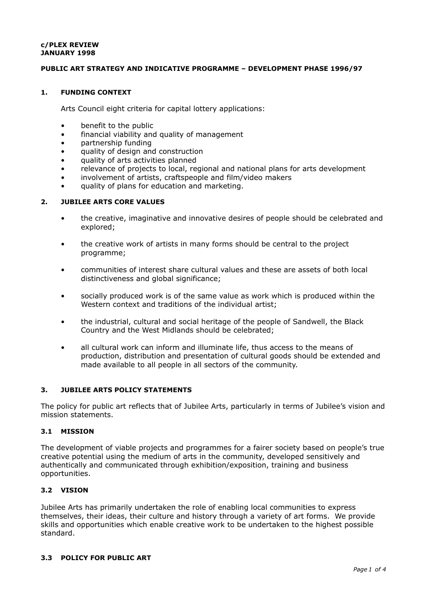#### **c/PLEX REVIEW JANUARY 1998**

#### **PUBLIC ART STRATEGY AND INDICATIVE PROGRAMME – DEVELOPMENT PHASE 1996/97**

# **1. FUNDING CONTEXT**

Arts Council eight criteria for capital lottery applications:

- benefit to the public
- financial viability and quality of management
- partnership funding
- quality of design and construction
- quality of arts activities planned
- relevance of projects to local, regional and national plans for arts development
- involvement of artists, craftspeople and film/video makers
- quality of plans for education and marketing.

## **2. JUBILEE ARTS CORE VALUES**

- the creative, imaginative and innovative desires of people should be celebrated and explored;
- the creative work of artists in many forms should be central to the project programme;
- communities of interest share cultural values and these are assets of both local distinctiveness and global significance;
- socially produced work is of the same value as work which is produced within the Western context and traditions of the individual artist;
- the industrial, cultural and social heritage of the people of Sandwell, the Black Country and the West Midlands should be celebrated;
- all cultural work can inform and illuminate life, thus access to the means of production, distribution and presentation of cultural goods should be extended and made available to all people in all sectors of the community.

#### **3. JUBILEE ARTS POLICY STATEMENTS**

The policy for public art reflects that of Jubilee Arts, particularly in terms of Jubilee's vision and mission statements.

### **3.1 MISSION**

The development of viable projects and programmes for a fairer society based on people's true creative potential using the medium of arts in the community, developed sensitively and authentically and communicated through exhibition/exposition, training and business opportunities.

### **3.2 VISION**

Jubilee Arts has primarily undertaken the role of enabling local communities to express themselves, their ideas, their culture and history through a variety of art forms. We provide skills and opportunities which enable creative work to be undertaken to the highest possible standard.

## **3.3 POLICY FOR PUBLIC ART**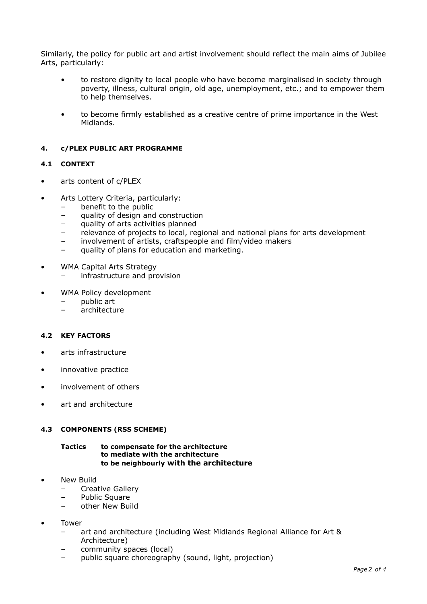Similarly, the policy for public art and artist involvement should reflect the main aims of Jubilee Arts, particularly:

- to restore dignity to local people who have become marginalised in society through poverty, illness, cultural origin, old age, unemployment, etc.; and to empower them to help themselves.
- to become firmly established as a creative centre of prime importance in the West Midlands.

## **4. c/PLEX PUBLIC ART PROGRAMME**

### **4.1 CONTEXT**

- arts content of c/PLEX
- Arts Lottery Criteria, particularly:
	- benefit to the public
	- quality of design and construction
	- quality of arts activities planned
	- relevance of projects to local, regional and national plans for arts development
	- involvement of artists, craftspeople and film/video makers
	- quality of plans for education and marketing.
- WMA Capital Arts Strategy
	- infrastructure and provision
- WMA Policy development
	- public art
	- architecture

#### **4.2 KEY FACTORS**

- arts infrastructure
- innovative practice
- involvement of others
- art and architecture

### **4.3 COMPONENTS (RSS SCHEME)**

#### **Tactics to compensate for the architecture to mediate with the architecture to be neighbourly with the architecture**

- New Build
	- Creative Gallery
	- Public Square
	- other New Build
- **Tower** 
	- art and architecture (including West Midlands Regional Alliance for Art & Architecture)
	- community spaces (local)
	- public square choreography (sound, light, projection)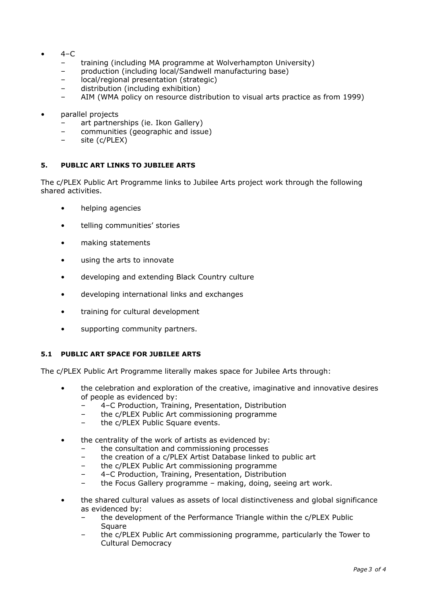- $4-C$ 
	- training (including MA programme at Wolverhampton University)
	- production (including local/Sandwell manufacturing base)
	- local/regional presentation (strategic)
	- distribution (including exhibition)
	- AIM (WMA policy on resource distribution to visual arts practice as from 1999)
- parallel projects
	- art partnerships (ie. Ikon Gallery)
	- communities (geographic and issue)
	- site (c/PLEX)

## **5. PUBLIC ART LINKS TO JUBILEE ARTS**

The c/PLEX Public Art Programme links to Jubilee Arts project work through the following shared activities.

- helping agencies
- telling communities' stories
- making statements
- using the arts to innovate
- developing and extending Black Country culture
- developing international links and exchanges
- training for cultural development
- supporting community partners.

## **5.1 PUBLIC ART SPACE FOR JUBILEE ARTS**

The c/PLEX Public Art Programme literally makes space for Jubilee Arts through:

- the celebration and exploration of the creative, imaginative and innovative desires of people as evidenced by:
	- 4–C Production, Training, Presentation, Distribution
	- the c/PLEX Public Art commissioning programme
	- the c/PLEX Public Square events.
- the centrality of the work of artists as evidenced by:
	- the consultation and commissioning processes
	- the creation of a c/PLEX Artist Database linked to public art
	- the c/PLEX Public Art commissioning programme
	- 4–C Production, Training, Presentation, Distribution
	- the Focus Gallery programme making, doing, seeing art work.
- the shared cultural values as assets of local distinctiveness and global significance as evidenced by:
	- the development of the Performance Triangle within the c/PLEX Public Square
	- the c/PLEX Public Art commissioning programme, particularly the Tower to Cultural Democracy